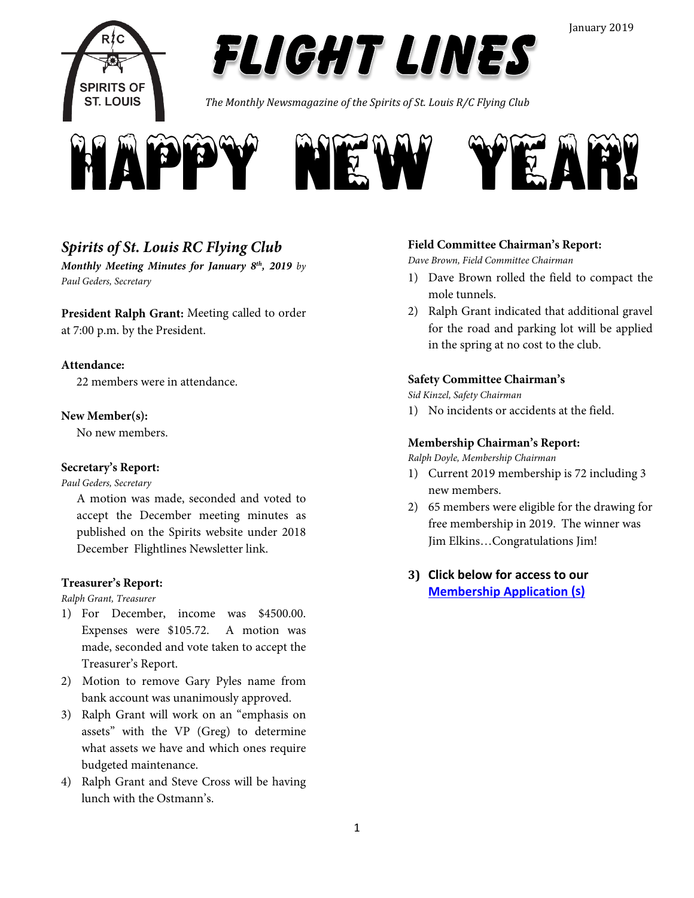

*The Monthly Newsmagazine of the Spirits of St. Louis R/C Flying Club*



### *Spirits of St. Louis RC Flying Club*

*Monthly Meeting Minutes for January 8th, 2019 by Paul Geders, Secretary*

**President Ralph Grant:** Meeting called to order at 7:00 p.m. by the President.

#### **Attendance:**

22 members were in attendance.

#### **New Member(s):**

No new members.

#### **Secretary's Report:**

*Paul Geders, Secretary*

A motion was made, seconded and voted to accept the December meeting minutes as published on the Spirits website under 2018 December Flightlines Newsletter link.

#### **Treasurer's Report:**

#### *Ralph Grant, Treasurer*

- 1) For December, income was \$4500.00. Expenses were \$105.72. A motion was made, seconded and vote taken to accept the Treasurer's Report.
- 2) Motion to remove Gary Pyles name from bank account was unanimously approved.
- 3) Ralph Grant will work on an "emphasis on assets" with the VP (Greg) to determine what assets we have and which ones require budgeted maintenance.
- 4) Ralph Grant and Steve Cross will be having lunch with the Ostmann's.

#### **Field Committee Chairman's Report:**

*Dave Brown, Field Committee Chairman*

- 1) Dave Brown rolled the field to compact the mole tunnels.
- 2) Ralph Grant indicated that additional gravel for the road and parking lot will be applied in the spring at no cost to the club.

#### **Safety Committee Chairman's**

*Sid Kinzel, Safety Chairman*

1) No incidents or accidents at the field.

#### **Membership Chairman's Report:**

*Ralph Doyle, Membership Chairman*

- 1) Current 2019 membership is 72 including 3 new members.
- 2) 65 members were eligible for the drawing for free membership in 2019. The winner was Jim Elkins…Congratulations Jim!
- **3) Click below for access to our [Membership Application](http://spiritsofstl.com/membership.php) (s)**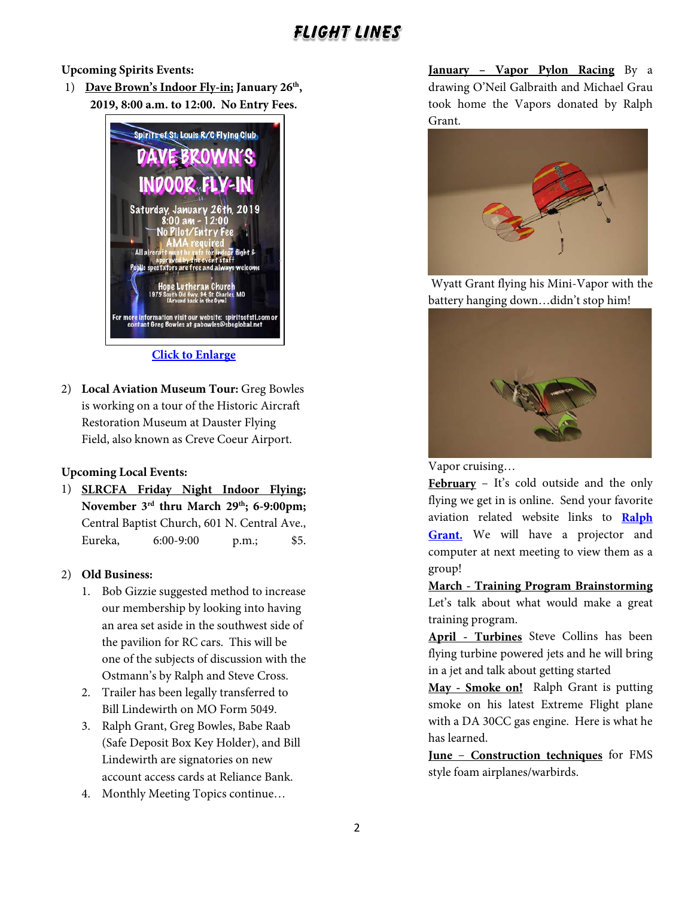**Upcoming Spirits Events:**

1) **Dave Brown's Indoor Fly-in; January 26th, 2019, 8:00 a.m. to 12:00. No Entry Fees.**



#### **[Click to Enlarge](http://spiritsofstl.com/Home_page_images/2019/indoor-2019.pdf)**

2) **Local Aviation Museum Tour:** Greg Bowles is working on a tour of the Historic Aircraft Restoration Museum at Dauster Flying Field, also known as Creve Coeur Airport.

#### **Upcoming Local Events:**

1) **SLRCFA Friday Night Indoor Flying; November 3rd thru March 29th; 6-9:00pm;** Central Baptist Church, 601 N. Central Ave., Eureka, 6:00-9:00 p.m.; \$5.

#### 2) **Old Business:**

- 1. Bob Gizzie suggested method to increase our membership by looking into having an area set aside in the southwest side of the pavilion for RC cars. This will be one of the subjects of discussion with the Ostmann's by Ralph and Steve Cross.
- 2. Trailer has been legally transferred to Bill Lindewirth on MO Form 5049.
- 3. Ralph Grant, Greg Bowles, Babe Raab (Safe Deposit Box Key Holder), and Bill Lindewirth are signatories on new account access cards at Reliance Bank.
- 4. Monthly Meeting Topics continue…

**January – Vapor Pylon Racing** By a drawing O'Neil Galbraith and Michael Grau took home the Vapors donated by Ralph Grant.



Wyatt Grant flying his Mini-Vapor with the battery hanging down…didn't stop him!



Vapor cruising…

**February** – It's cold outside and the only flying we get in is online. Send your favorite aviation related website links to **[Ralph](mailto:Ralph%20Grant%20(RALPH@THEGRANTZ.COM))  [Grant.](mailto:Ralph%20Grant%20(RALPH@THEGRANTZ.COM))** We will have a projector and computer at next meeting to view them as a group!

**March - Training Program Brainstorming** Let's talk about what would make a great training program.

**April - Turbines** Steve Collins has been flying turbine powered jets and he will bring in a jet and talk about getting started

**May - Smoke on!** Ralph Grant is putting smoke on his latest Extreme Flight plane with a DA 30CC gas engine. Here is what he has learned.

**June** – **Construction techniques** for FMS style foam airplanes/warbirds.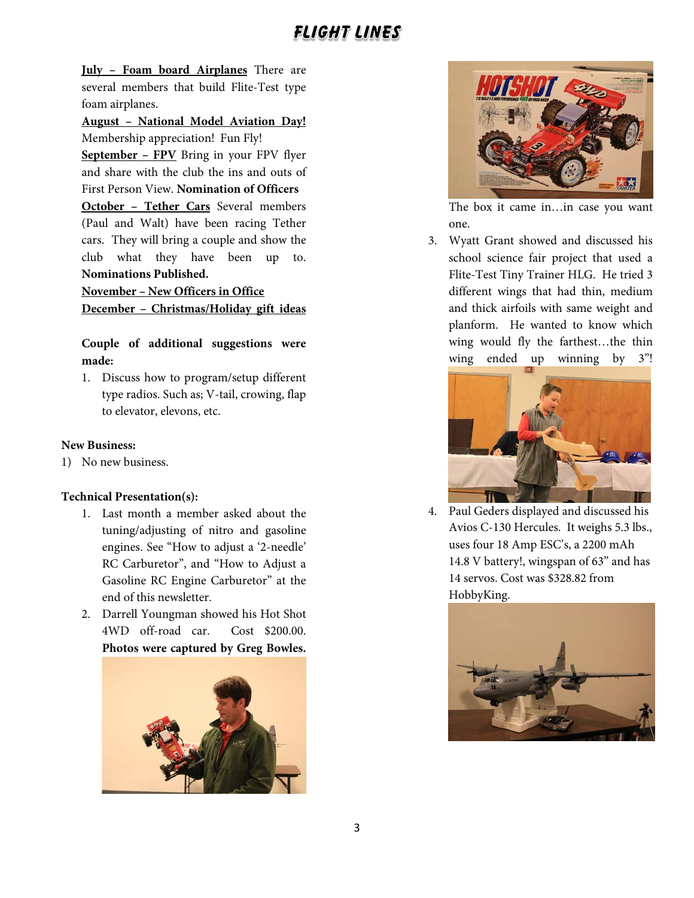**July – Foam board Airplanes** There are several members that build Flite-Test type foam airplanes.

**August – National Model Aviation Day!** Membership appreciation! Fun Fly!

**September – FPV** Bring in your FPV flyer and share with the club the ins and outs of First Person View. **Nomination of Officers**

**October – Tether Cars** Several members (Paul and Walt) have been racing Tether cars. They will bring a couple and show the club what they have been up to. **Nominations Published.**

**November – New Officers in Office December – Christmas/Holiday gift ideas**

**Couple of additional suggestions were made:**

1. Discuss how to program/setup different type radios. Such as; V-tail, crowing, flap to elevator, elevons, etc.

#### **New Business:**

1) No new business.

#### **Technical Presentation(s):**

- 1. Last month a member asked about the tuning/adjusting of nitro and gasoline engines. See "How to adjust a '2-needle' RC Carburetor", and "How to Adjust a Gasoline RC Engine Carburetor" at the end of this newsletter.
- 2. Darrell Youngman showed his Hot Shot 4WD off-road car. Cost \$200.00. **Photos were captured by Greg Bowles.**





The box it came in…in case you want one.

3. Wyatt Grant showed and discussed his school science fair project that used a Flite-Test Tiny Trainer HLG. He tried 3 different wings that had thin, medium and thick airfoils with same weight and planform. He wanted to know which wing would fly the farthest…the thin wing ended up winning by 3"!



4. Paul Geders displayed and discussed his Avios C-130 Hercules. It weighs 5.3 lbs., uses four 18 Amp ESC's, a 2200 mAh 14.8 V battery!, wingspan of 63" and has 14 servos. Cost was \$328.82 from HobbyKing.

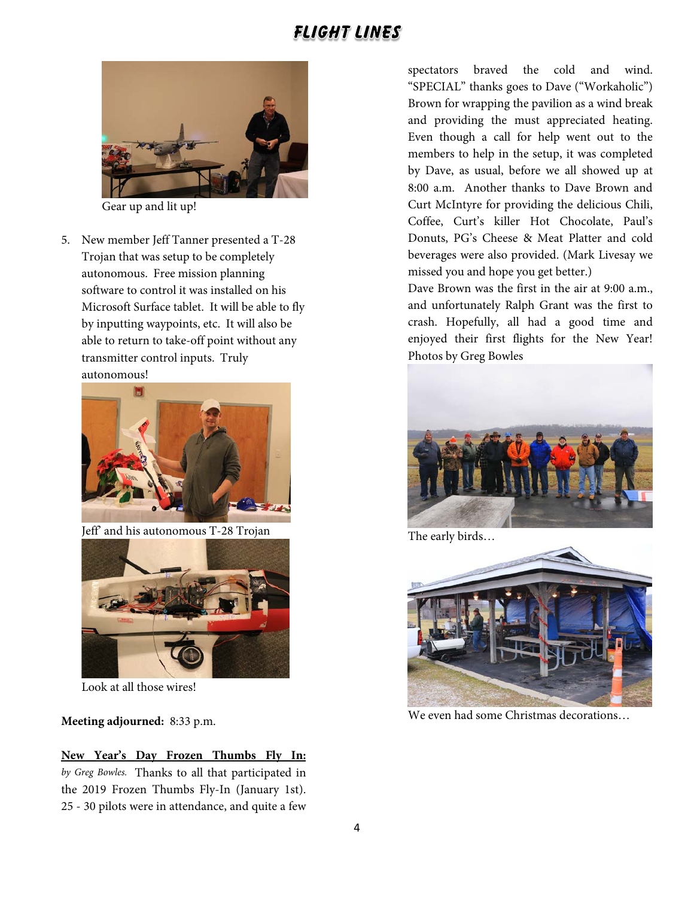

Gear up and lit up!

5. New member Jeff Tanner presented a T-28 Trojan that was setup to be completely autonomous. Free mission planning software to control it was installed on his Microsoft Surface tablet. It will be able to fly by inputting waypoints, etc. It will also be able to return to take-off point without any transmitter control inputs. Truly autonomous!



Jeff' and his autonomous T-28 Trojan



Look at all those wires!

**Meeting adjourned:** 8:33 p.m.

**New Year's Day Frozen Thumbs Fly In:**  *by Greg Bowles.* Thanks to all that participated in the 2019 Frozen Thumbs Fly-In (January 1st). 25 - 30 pilots were in attendance, and quite a few

spectators braved the cold and wind. "SPECIAL" thanks goes to Dave ("Workaholic") Brown for wrapping the pavilion as a wind break and providing the must appreciated heating. Even though a call for help went out to the members to help in the setup, it was completed by Dave, as usual, before we all showed up at 8:00 a.m. Another thanks to Dave Brown and Curt McIntyre for providing the delicious Chili, Coffee, Curt's killer Hot Chocolate, Paul's Donuts, PG's Cheese & Meat Platter and cold beverages were also provided. (Mark Livesay we missed you and hope you get better.)

Dave Brown was the first in the air at 9:00 a.m., and unfortunately Ralph Grant was the first to crash. Hopefully, all had a good time and enjoyed their first flights for the New Year! Photos by Greg Bowles



The early birds…



We even had some Christmas decorations…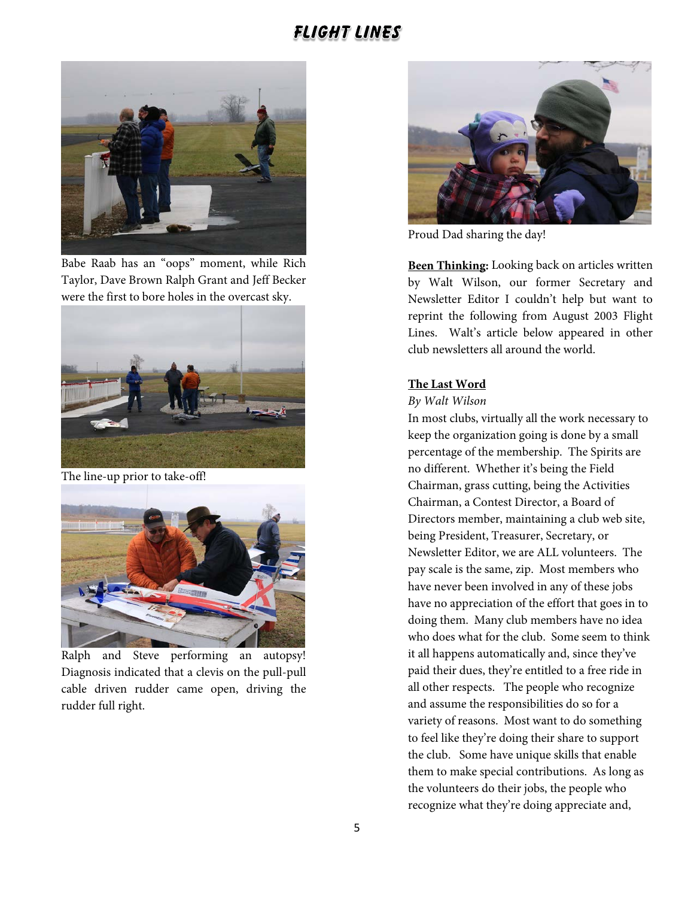

Babe Raab has an "oops" moment, while Rich Taylor, Dave Brown Ralph Grant and Jeff Becker were the first to bore holes in the overcast sky.



The line-up prior to take-off!



Ralph and Steve performing an autopsy! Diagnosis indicated that a clevis on the pull-pull cable driven rudder came open, driving the rudder full right.



Proud Dad sharing the day!

**Been Thinking:** Looking back on articles written by Walt Wilson, our former Secretary and Newsletter Editor I couldn't help but want to reprint the following from August 2003 Flight Lines. Walt's article below appeared in other club newsletters all around the world.

#### **The Last Word**

#### *By Walt Wilson*

In most clubs, virtually all the work necessary to keep the organization going is done by a small percentage of the membership. The Spirits are no different. Whether it's being the Field Chairman, grass cutting, being the Activities Chairman, a Contest Director, a Board of Directors member, maintaining a club web site, being President, Treasurer, Secretary, or Newsletter Editor, we are ALL volunteers. The pay scale is the same, zip. Most members who have never been involved in any of these jobs have no appreciation of the effort that goes in to doing them. Many club members have no idea who does what for the club. Some seem to think it all happens automatically and, since they've paid their dues, they're entitled to a free ride in all other respects. The people who recognize and assume the responsibilities do so for a variety of reasons. Most want to do something to feel like they're doing their share to support the club. Some have unique skills that enable them to make special contributions. As long as the volunteers do their jobs, the people who recognize what they're doing appreciate and,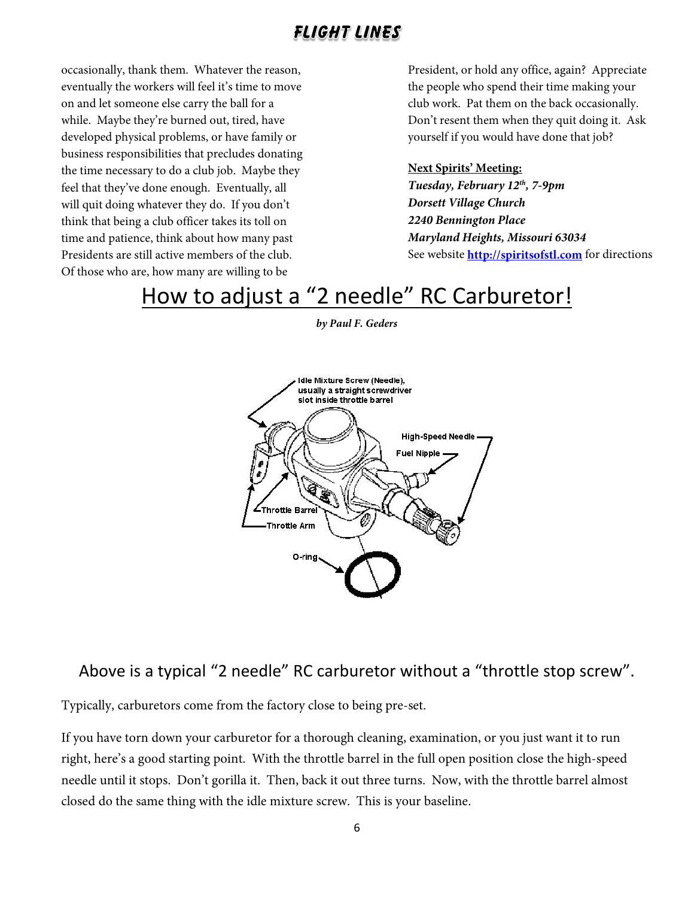occasionally, thank them. Whatever the reason, eventually the workers will feel it's time to move on and let someone else carry the ball for a while. Maybe they're burned out, tired, have developed physical problems, or have family or business responsibilities that precludes donating the time necessary to do a club job. Maybe they feel that they've done enough. Eventually, all will quit doing whatever they do. If you don't think that being a club officer takes its toll on time and patience, think about how many past Presidents are still active members of the club. Of those who are, how many are willing to be

President, or hold any office, again? Appreciate the people who spend their time making your club work. Pat them on the back occasionally. Don't resent them when they quit doing it. Ask yourself if you would have done that job?

#### **Next Spirits' Meeting:**

*Tuesday, February 12th, 7-9pm Dorsett Village Church 2240 Bennington Place Maryland Heights, Missouri 63034* See website **[http://spiritsofstl.com](http://spiritsofstl.com/)** for directions

# How to adjust a "2 needle" RC Carburetor!

*by Paul F. Geders*



### Above is a typical "2 needle" RC carburetor without a "throttle stop screw".

Typically, carburetors come from the factory close to being pre-set.

If you have torn down your carburetor for a thorough cleaning, examination, or you just want it to run right, here's a good starting point. With the throttle barrel in the full open position close the high-speed needle until it stops. Don't gorilla it. Then, back it out three turns. Now, with the throttle barrel almost closed do the same thing with the idle mixture screw. This is your baseline.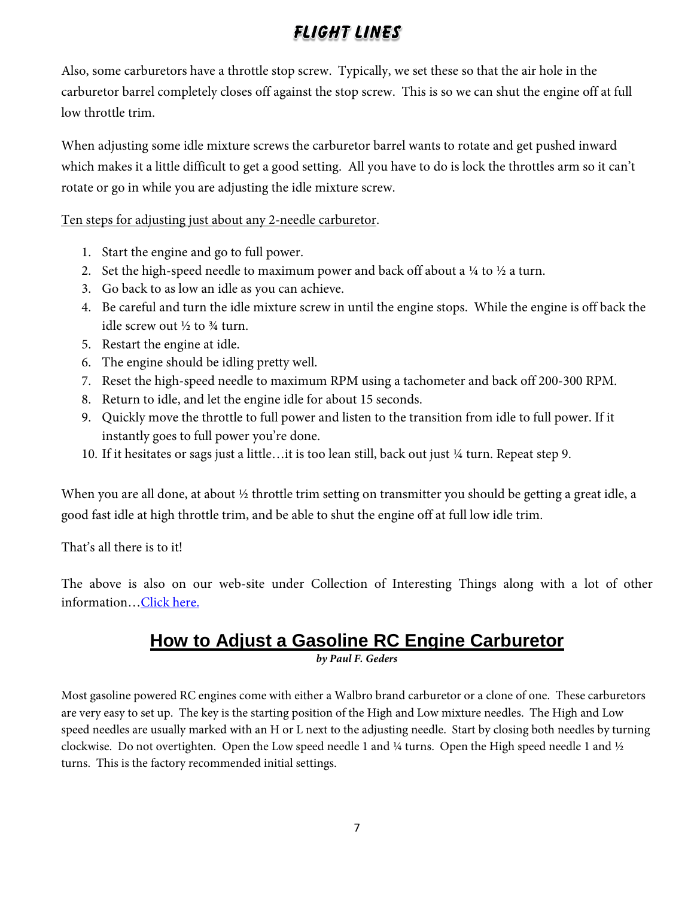Also, some carburetors have a throttle stop screw. Typically, we set these so that the air hole in the carburetor barrel completely closes off against the stop screw. This is so we can shut the engine off at full low throttle trim.

When adjusting some idle mixture screws the carburetor barrel wants to rotate and get pushed inward which makes it a little difficult to get a good setting. All you have to do is lock the throttles arm so it can't rotate or go in while you are adjusting the idle mixture screw.

Ten steps for adjusting just about any 2-needle carburetor.

- 1. Start the engine and go to full power.
- 2. Set the high-speed needle to maximum power and back off about a  $\frac{1}{4}$  to  $\frac{1}{2}$  a turn.
- 3. Go back to as low an idle as you can achieve.
- 4. Be careful and turn the idle mixture screw in until the engine stops. While the engine is off back the idle screw out  $\frac{1}{2}$  to  $\frac{3}{4}$  turn.
- 5. Restart the engine at idle.
- 6. The engine should be idling pretty well.
- 7. Reset the high-speed needle to maximum RPM using a tachometer and back off 200-300 RPM.
- 8. Return to idle, and let the engine idle for about 15 seconds.
- 9. Quickly move the throttle to full power and listen to the transition from idle to full power. If it instantly goes to full power you're done.
- 10. If it hesitates or sags just a little…it is too lean still, back out just ¼ turn. Repeat step 9.

When you are all done, at about  $\frac{1}{2}$  throttle trim setting on transmitter you should be getting a great idle, a good fast idle at high throttle trim, and be able to shut the engine off at full low idle trim.

That's all there is to it!

The above is also on our web-site under Collection of Interesting Things along with a lot of other information[…Click here.](http://spiritsofstl.com/collection.php)

## **How to Adjust a Gasoline RC Engine Carburetor**

*by Paul F. Geders*

Most gasoline powered RC engines come with either a Walbro brand carburetor or a clone of one. These carburetors are very easy to set up. The key is the starting position of the High and Low mixture needles. The High and Low speed needles are usually marked with an H or L next to the adjusting needle. Start by closing both needles by turning clockwise. Do not overtighten. Open the Low speed needle 1 and ¼ turns. Open the High speed needle 1 and ½ turns. This is the factory recommended initial settings.